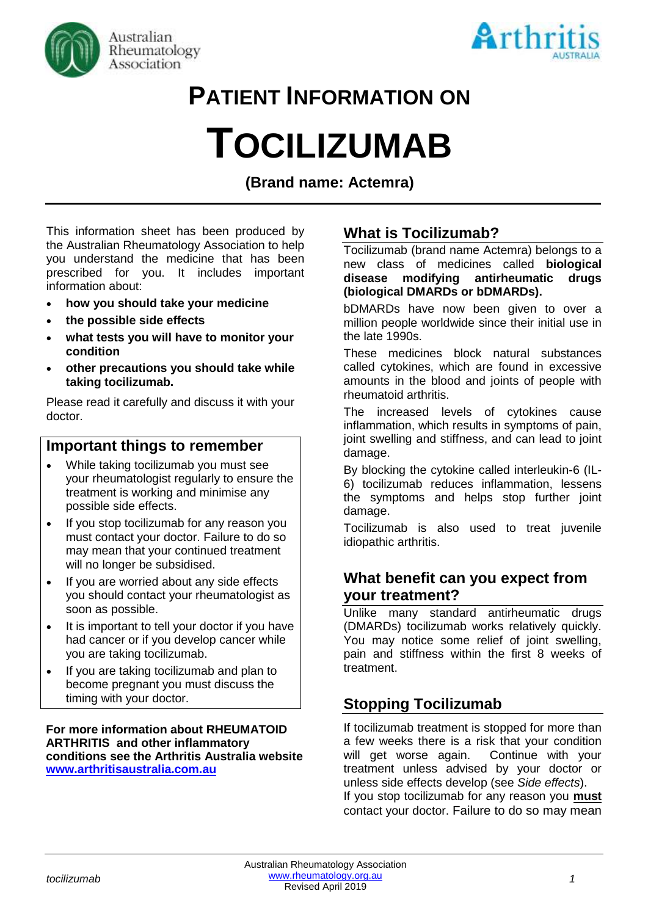



# **PATIENT INFORMATION ON**

# **TOCILIZUMAB**

**(Brand name: Actemra)**

This information sheet has been produced by the Australian Rheumatology Association to help you understand the medicine that has been prescribed for you. It includes important information about:

- **how you should take your medicine**
- **the possible side effects**
- **what tests you will have to monitor your condition**
- **other precautions you should take while taking tocilizumab.**

Please read it carefully and discuss it with your doctor.

# **Important things to remember**

- While taking tocilizumab you must see your rheumatologist regularly to ensure the treatment is working and minimise any possible side effects.
- If you stop tocilizumab for any reason you must contact your doctor. Failure to do so may mean that your continued treatment will no longer be subsidised.
- If you are worried about any side effects you should contact your rheumatologist as soon as possible.
- It is important to tell your doctor if you have had cancer or if you develop cancer while you are taking tocilizumab.
- If you are taking tocilizumab and plan to become pregnant you must discuss the timing with your doctor.

**For more information about RHEUMATOID ARTHRITIS and other inflammatory conditions see the Arthritis Australia website [www.arthritisaustralia.com.au](http://www.arthritisaustralia.com.au/)**

# **What is Tocilizumab?**

Tocilizumab (brand name Actemra) belongs to a new class of medicines called **biological disease modifying antirheumatic drugs (biological DMARDs or bDMARDs).** 

bDMARDs have now been given to over a million people worldwide since their initial use in the late 1990s.

These medicines block natural substances called cytokines, which are found in excessive amounts in the blood and joints of people with rheumatoid arthritis.

The increased levels of cytokines cause inflammation, which results in symptoms of pain, joint swelling and stiffness, and can lead to joint damage.

By blocking the cytokine called interleukin-6 (IL-6) tocilizumab reduces inflammation, lessens the symptoms and helps stop further joint damage.

Tocilizumab is also used to treat juvenile idiopathic arthritis.

# **What benefit can you expect from your treatment?**

Unlike many standard antirheumatic drugs (DMARDs) tocilizumab works relatively quickly. You may notice some relief of joint swelling, pain and stiffness within the first 8 weeks of treatment.

# **Stopping Tocilizumab**

If tocilizumab treatment is stopped for more than a few weeks there is a risk that your condition will get worse again. Continue with your treatment unless advised by your doctor or unless side effects develop (see *Side effects*). If you stop tocilizumab for any reason you **must** contact your doctor. Failure to do so may mean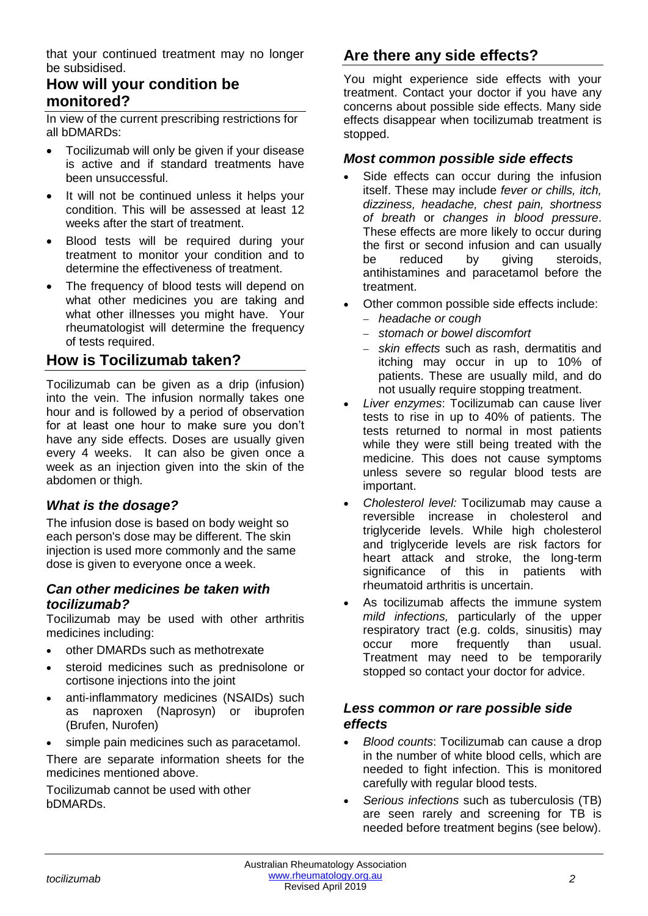that your continued treatment may no longer be subsidised.

# **How will your condition be monitored?**

In view of the current prescribing restrictions for all bDMARDs:

- Tocilizumab will only be given if your disease is active and if standard treatments have been unsuccessful.
- It will not be continued unless it helps your condition. This will be assessed at least 12 weeks after the start of treatment.
- Blood tests will be required during your treatment to monitor your condition and to determine the effectiveness of treatment.
- The frequency of blood tests will depend on what other medicines you are taking and what other illnesses you might have. Your rheumatologist will determine the frequency of tests required.

### **How is Tocilizumab taken?**

Tocilizumab can be given as a drip (infusion) into the vein. The infusion normally takes one hour and is followed by a period of observation for at least one hour to make sure you don't have any side effects. Doses are usually given every 4 weeks. It can also be given once a week as an injection given into the skin of the abdomen or thigh.

#### *What is the dosage?*

The infusion dose is based on body weight so each person's dose may be different. The skin injection is used more commonly and the same dose is given to everyone once a week.

#### *Can other medicines be taken with tocilizumab?*

Tocilizumab may be used with other arthritis medicines including:

- other DMARDs such as methotrexate
- steroid medicines such as prednisolone or cortisone injections into the joint
- anti-inflammatory medicines (NSAIDs) such as naproxen (Naprosyn) or ibuprofen (Brufen, Nurofen)
- simple pain medicines such as paracetamol.

There are separate information sheets for the medicines mentioned above.

Tocilizumab cannot be used with other bDMARDs.

# **Are there any side effects?**

You might experience side effects with your treatment. Contact your doctor if you have any concerns about possible side effects. Many side effects disappear when tocilizumab treatment is stopped.

#### *Most common possible side effects*

- Side effects can occur during the infusion itself. These may include *fever or chills, itch, dizziness, headache, chest pain, shortness of breath* or *changes in blood pressure*. These effects are more likely to occur during the first or second infusion and can usually be reduced by giving steroids. antihistamines and paracetamol before the treatment.
- Other common possible side effects include:
	- − *headache or cough*
	- − *stomach or bowel discomfort*
	- − *skin effects* such as rash, dermatitis and itching may occur in up to 10% of patients. These are usually mild, and do not usually require stopping treatment.
- *Liver enzymes*: Tocilizumab can cause liver tests to rise in up to 40% of patients. The tests returned to normal in most patients while they were still being treated with the medicine. This does not cause symptoms unless severe so regular blood tests are important.
- *Cholesterol level:* Tocilizumab may cause a reversible increase in cholesterol and triglyceride levels. While high cholesterol and triglyceride levels are risk factors for heart attack and stroke, the long-term significance of this in patients with rheumatoid arthritis is uncertain.
- As tocilizumab affects the immune system *mild infections,* particularly of the upper respiratory tract (e.g. colds, sinusitis) may occur more frequently than usual. Treatment may need to be temporarily stopped so contact your doctor for advice.

#### *Less common or rare possible side effects*

- *Blood counts*: Tocilizumab can cause a drop in the number of white blood cells, which are needed to fight infection. This is monitored carefully with regular blood tests.
- *Serious infections* such as tuberculosis (TB) are seen rarely and screening for TB is needed before treatment begins (see below).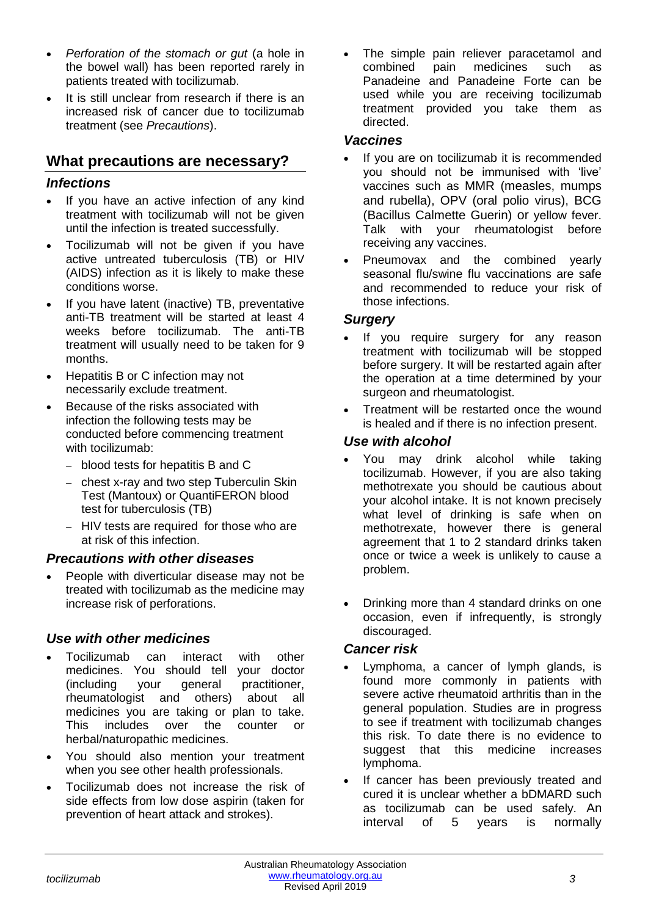- *Perforation of the stomach or gut* (a hole in the bowel wall) has been reported rarely in patients treated with tocilizumab.
- It is still unclear from research if there is an increased risk of cancer due to tocilizumab treatment (see *Precautions*).

# **What precautions are necessary?**

#### *Infections*

- If you have an active infection of any kind treatment with tocilizumab will not be given until the infection is treated successfully.
- Tocilizumab will not be given if you have active untreated tuberculosis (TB) or HIV (AIDS) infection as it is likely to make these conditions worse.
- If you have latent (inactive) TB, preventative anti-TB treatment will be started at least 4 weeks before tocilizumab. The anti-TB treatment will usually need to be taken for 9 months.
- Hepatitis B or C infection may not necessarily exclude treatment.
- Because of the risks associated with infection the following tests may be conducted before commencing treatment with tocilizumab:
	- − blood tests for hepatitis B and C
	- − chest x-ray and two step Tuberculin Skin Test (Mantoux) or QuantiFERON blood test for tuberculosis (TB)
	- − HIV tests are required for those who are at risk of this infection.

#### *Precautions with other diseases*

• People with diverticular disease may not be treated with tocilizumab as the medicine may increase risk of perforations.

### *Use with other medicines*

- Tocilizumab can interact with other medicines. You should tell your doctor (including your general practitioner, rheumatologist and others) about all medicines you are taking or plan to take. This includes over the counter or herbal/naturopathic medicines.
- You should also mention your treatment when you see other health professionals.
- Tocilizumab does not increase the risk of side effects from low dose aspirin (taken for prevention of heart attack and strokes).

The simple pain reliever paracetamol and combined pain medicines such as Panadeine and Panadeine Forte can be used while you are receiving tocilizumab treatment provided you take them as directed.

#### *Vaccines*

- If you are on tocilizumab it is recommended you should not be immunised with 'live' vaccines such as MMR (measles, mumps and rubella), OPV (oral polio virus), BCG (Bacillus Calmette Guerin) or yellow fever. Talk with your rheumatologist before receiving any vaccines.
- Pneumovax and the combined yearly seasonal flu/swine flu vaccinations are safe and recommended to reduce your risk of those infections.

#### *Surgery*

- If you require surgery for any reason treatment with tocilizumab will be stopped before surgery. It will be restarted again after the operation at a time determined by your surgeon and rheumatologist.
- Treatment will be restarted once the wound is healed and if there is no infection present.

#### *Use with alcohol*

- You may drink alcohol while taking tocilizumab. However, if you are also taking methotrexate you should be cautious about your alcohol intake. It is not known precisely what level of drinking is safe when on methotrexate, however there is general agreement that 1 to 2 standard drinks taken once or twice a week is unlikely to cause a problem.
- Drinking more than 4 standard drinks on one occasion, even if infrequently, is strongly discouraged.

#### *Cancer risk*

- Lymphoma, a cancer of lymph glands, is found more commonly in patients with severe active rheumatoid arthritis than in the general population. Studies are in progress to see if treatment with tocilizumab changes this risk. To date there is no evidence to suggest that this medicine increases lymphoma.
- If cancer has been previously treated and cured it is unclear whether a bDMARD such as tocilizumab can be used safely. An interval of 5 years is normally